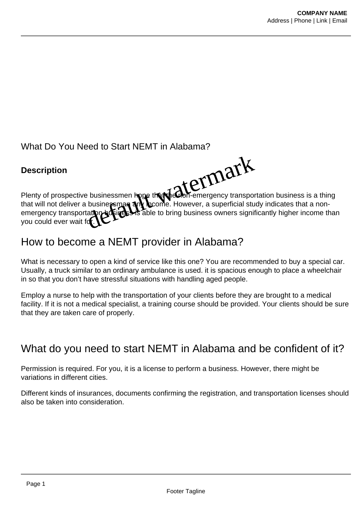#### What Do You Need to Start NEMT in Alabama?

#### **Description**



Plenty of prospective businessmen hope that the obil-emergency transportation business is a thing that will not deliver a businessman any locome. However, a superficial study indicates that a nonemergency transportation business is able to bring business owners significantly higher income than vou could ever wait for. Businessmen hope that water-emergency transpote businessmen and boome. However, a superficial student

# How to become a NEMT provider in Alabama?

What is necessary to open a kind of service like this one? You are recommended to buy a special car. Usually, a truck similar to an ordinary ambulance is used. it is spacious enough to place a wheelchair in so that you don't have stressful situations with handling aged people.

Employ a nurse to help with the transportation of your clients before they are brought to a medical facility. If it is not a medical specialist, a training course should be provided. Your clients should be sure that they are taken care of properly.

# What do you need to start NEMT in Alabama and be confident of it?

Permission is required. For you, it is a license to perform a business. However, there might be variations in different cities.

Different kinds of insurances, documents confirming the registration, and transportation licenses should also be taken into consideration.